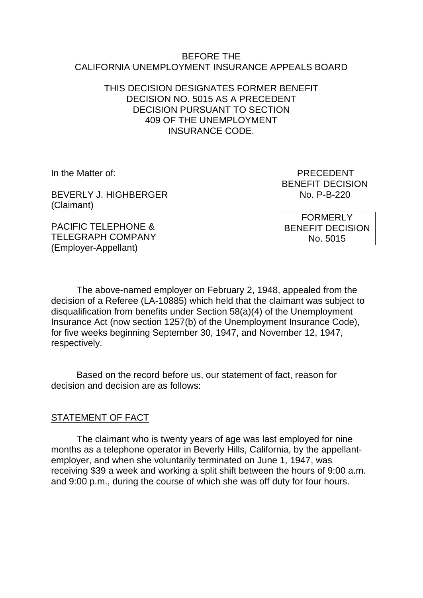#### BEFORE THE CALIFORNIA UNEMPLOYMENT INSURANCE APPEALS BOARD

#### THIS DECISION DESIGNATES FORMER BENEFIT DECISION NO. 5015 AS A PRECEDENT DECISION PURSUANT TO SECTION 409 OF THE UNEMPLOYMENT INSURANCE CODE.

BEVERLY J. HIGHBERGER NO. P-B-220 (Claimant)

In the Matter of: PRECEDENT BENEFIT DECISION

> FORMERLY BENEFIT DECISION No. 5015

PACIFIC TELEPHONE & TELEGRAPH COMPANY (Employer-Appellant)

The above-named employer on February 2, 1948, appealed from the decision of a Referee (LA-10885) which held that the claimant was subject to disqualification from benefits under Section 58(a)(4) of the Unemployment Insurance Act (now section 1257(b) of the Unemployment Insurance Code), for five weeks beginning September 30, 1947, and November 12, 1947, respectively.

Based on the record before us, our statement of fact, reason for decision and decision are as follows:

# STATEMENT OF FACT

The claimant who is twenty years of age was last employed for nine months as a telephone operator in Beverly Hills, California, by the appellantemployer, and when she voluntarily terminated on June 1, 1947, was receiving \$39 a week and working a split shift between the hours of 9:00 a.m. and 9:00 p.m., during the course of which she was off duty for four hours.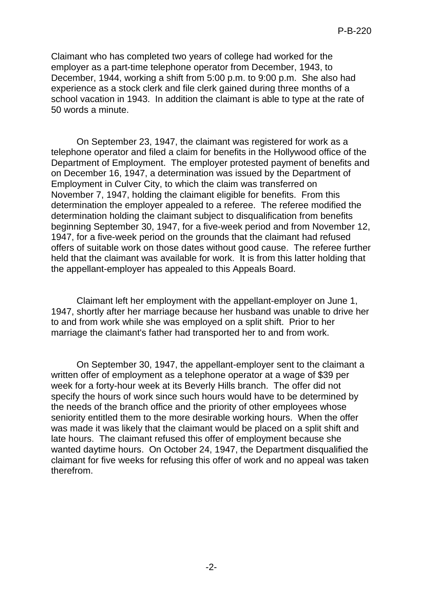Claimant who has completed two years of college had worked for the employer as a part-time telephone operator from December, 1943, to December, 1944, working a shift from 5:00 p.m. to 9:00 p.m. She also had experience as a stock clerk and file clerk gained during three months of a school vacation in 1943. In addition the claimant is able to type at the rate of 50 words a minute.

On September 23, 1947, the claimant was registered for work as a telephone operator and filed a claim for benefits in the Hollywood office of the Department of Employment. The employer protested payment of benefits and on December 16, 1947, a determination was issued by the Department of Employment in Culver City, to which the claim was transferred on November 7, 1947, holding the claimant eligible for benefits. From this determination the employer appealed to a referee. The referee modified the determination holding the claimant subject to disqualification from benefits beginning September 30, 1947, for a five-week period and from November 12, 1947, for a five-week period on the grounds that the claimant had refused offers of suitable work on those dates without good cause. The referee further held that the claimant was available for work. It is from this latter holding that the appellant-employer has appealed to this Appeals Board.

Claimant left her employment with the appellant-employer on June 1, 1947, shortly after her marriage because her husband was unable to drive her to and from work while she was employed on a split shift. Prior to her marriage the claimant's father had transported her to and from work.

On September 30, 1947, the appellant-employer sent to the claimant a written offer of employment as a telephone operator at a wage of \$39 per week for a forty-hour week at its Beverly Hills branch. The offer did not specify the hours of work since such hours would have to be determined by the needs of the branch office and the priority of other employees whose seniority entitled them to the more desirable working hours. When the offer was made it was likely that the claimant would be placed on a split shift and late hours. The claimant refused this offer of employment because she wanted daytime hours. On October 24, 1947, the Department disqualified the claimant for five weeks for refusing this offer of work and no appeal was taken therefrom.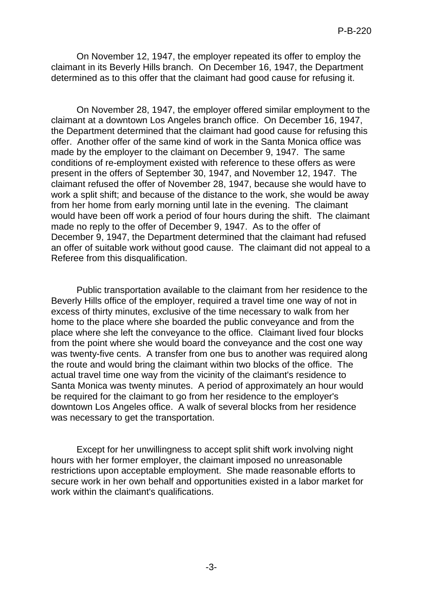On November 12, 1947, the employer repeated its offer to employ the claimant in its Beverly Hills branch. On December 16, 1947, the Department determined as to this offer that the claimant had good cause for refusing it.

On November 28, 1947, the employer offered similar employment to the claimant at a downtown Los Angeles branch office. On December 16, 1947, the Department determined that the claimant had good cause for refusing this offer. Another offer of the same kind of work in the Santa Monica office was made by the employer to the claimant on December 9, 1947. The same conditions of re-employment existed with reference to these offers as were present in the offers of September 30, 1947, and November 12, 1947. The claimant refused the offer of November 28, 1947, because she would have to work a split shift; and because of the distance to the work, she would be away from her home from early morning until late in the evening. The claimant would have been off work a period of four hours during the shift. The claimant made no reply to the offer of December 9, 1947. As to the offer of December 9, 1947, the Department determined that the claimant had refused an offer of suitable work without good cause. The claimant did not appeal to a Referee from this disqualification.

Public transportation available to the claimant from her residence to the Beverly Hills office of the employer, required a travel time one way of not in excess of thirty minutes, exclusive of the time necessary to walk from her home to the place where she boarded the public conveyance and from the place where she left the conveyance to the office. Claimant lived four blocks from the point where she would board the conveyance and the cost one way was twenty-five cents. A transfer from one bus to another was required along the route and would bring the claimant within two blocks of the office. The actual travel time one way from the vicinity of the claimant's residence to Santa Monica was twenty minutes. A period of approximately an hour would be required for the claimant to go from her residence to the employer's downtown Los Angeles office. A walk of several blocks from her residence was necessary to get the transportation.

Except for her unwillingness to accept split shift work involving night hours with her former employer, the claimant imposed no unreasonable restrictions upon acceptable employment. She made reasonable efforts to secure work in her own behalf and opportunities existed in a labor market for work within the claimant's qualifications.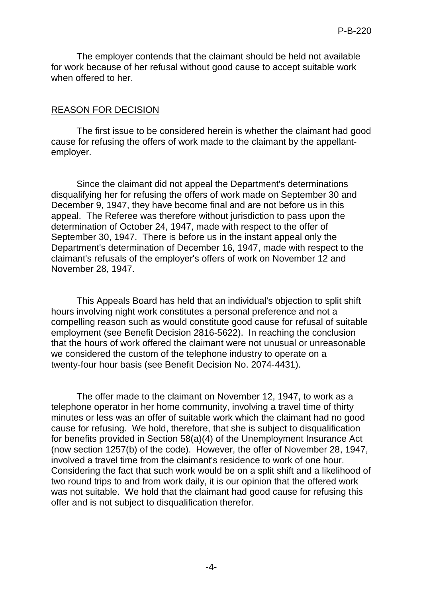The employer contends that the claimant should be held not available for work because of her refusal without good cause to accept suitable work when offered to her.

#### REASON FOR DECISION

The first issue to be considered herein is whether the claimant had good cause for refusing the offers of work made to the claimant by the appellantemployer.

Since the claimant did not appeal the Department's determinations disqualifying her for refusing the offers of work made on September 30 and December 9, 1947, they have become final and are not before us in this appeal. The Referee was therefore without jurisdiction to pass upon the determination of October 24, 1947, made with respect to the offer of September 30, 1947. There is before us in the instant appeal only the Department's determination of December 16, 1947, made with respect to the claimant's refusals of the employer's offers of work on November 12 and November 28, 1947.

This Appeals Board has held that an individual's objection to split shift hours involving night work constitutes a personal preference and not a compelling reason such as would constitute good cause for refusal of suitable employment (see Benefit Decision 2816-5622). In reaching the conclusion that the hours of work offered the claimant were not unusual or unreasonable we considered the custom of the telephone industry to operate on a twenty-four hour basis (see Benefit Decision No. 2074-4431).

The offer made to the claimant on November 12, 1947, to work as a telephone operator in her home community, involving a travel time of thirty minutes or less was an offer of suitable work which the claimant had no good cause for refusing. We hold, therefore, that she is subject to disqualification for benefits provided in Section 58(a)(4) of the Unemployment Insurance Act (now section 1257(b) of the code). However, the offer of November 28, 1947, involved a travel time from the claimant's residence to work of one hour. Considering the fact that such work would be on a split shift and a likelihood of two round trips to and from work daily, it is our opinion that the offered work was not suitable. We hold that the claimant had good cause for refusing this offer and is not subject to disqualification therefor.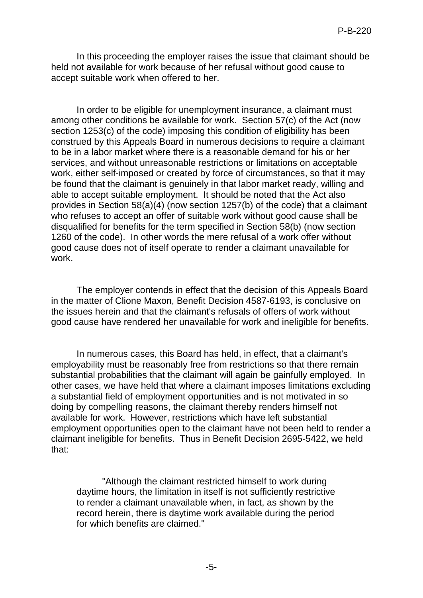In this proceeding the employer raises the issue that claimant should be held not available for work because of her refusal without good cause to accept suitable work when offered to her.

In order to be eligible for unemployment insurance, a claimant must among other conditions be available for work. Section 57(c) of the Act (now section 1253(c) of the code) imposing this condition of eligibility has been construed by this Appeals Board in numerous decisions to require a claimant to be in a labor market where there is a reasonable demand for his or her services, and without unreasonable restrictions or limitations on acceptable work, either self-imposed or created by force of circumstances, so that it may be found that the claimant is genuinely in that labor market ready, willing and able to accept suitable employment. It should be noted that the Act also provides in Section 58(a)(4) (now section 1257(b) of the code) that a claimant who refuses to accept an offer of suitable work without good cause shall be disqualified for benefits for the term specified in Section 58(b) (now section 1260 of the code). In other words the mere refusal of a work offer without good cause does not of itself operate to render a claimant unavailable for work.

The employer contends in effect that the decision of this Appeals Board in the matter of Clione Maxon, Benefit Decision 4587-6193, is conclusive on the issues herein and that the claimant's refusals of offers of work without good cause have rendered her unavailable for work and ineligible for benefits.

In numerous cases, this Board has held, in effect, that a claimant's employability must be reasonably free from restrictions so that there remain substantial probabilities that the claimant will again be gainfully employed. In other cases, we have held that where a claimant imposes limitations excluding a substantial field of employment opportunities and is not motivated in so doing by compelling reasons, the claimant thereby renders himself not available for work. However, restrictions which have left substantial employment opportunities open to the claimant have not been held to render a claimant ineligible for benefits. Thus in Benefit Decision 2695-5422, we held that:

"Although the claimant restricted himself to work during daytime hours, the limitation in itself is not sufficiently restrictive to render a claimant unavailable when, in fact, as shown by the record herein, there is daytime work available during the period for which benefits are claimed."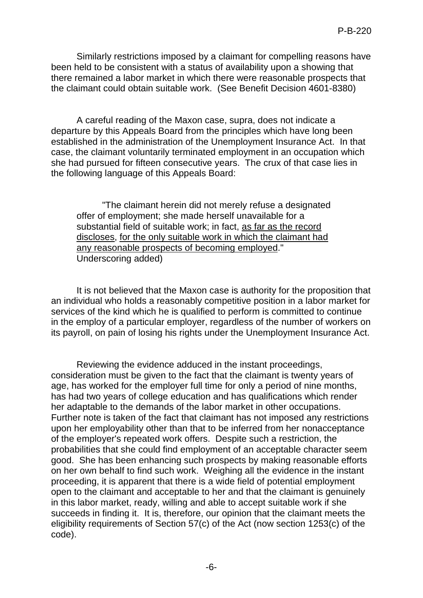Similarly restrictions imposed by a claimant for compelling reasons have been held to be consistent with a status of availability upon a showing that there remained a labor market in which there were reasonable prospects that the claimant could obtain suitable work. (See Benefit Decision 4601-8380)

A careful reading of the Maxon case, supra, does not indicate a departure by this Appeals Board from the principles which have long been established in the administration of the Unemployment Insurance Act. In that case, the claimant voluntarily terminated employment in an occupation which she had pursued for fifteen consecutive years. The crux of that case lies in the following language of this Appeals Board:

"The claimant herein did not merely refuse a designated offer of employment; she made herself unavailable for a substantial field of suitable work; in fact, as far as the record discloses, for the only suitable work in which the claimant had any reasonable prospects of becoming employed." Underscoring added)

It is not believed that the Maxon case is authority for the proposition that an individual who holds a reasonably competitive position in a labor market for services of the kind which he is qualified to perform is committed to continue in the employ of a particular employer, regardless of the number of workers on its payroll, on pain of losing his rights under the Unemployment Insurance Act.

Reviewing the evidence adduced in the instant proceedings, consideration must be given to the fact that the claimant is twenty years of age, has worked for the employer full time for only a period of nine months, has had two years of college education and has qualifications which render her adaptable to the demands of the labor market in other occupations. Further note is taken of the fact that claimant has not imposed any restrictions upon her employability other than that to be inferred from her nonacceptance of the employer's repeated work offers. Despite such a restriction, the probabilities that she could find employment of an acceptable character seem good. She has been enhancing such prospects by making reasonable efforts on her own behalf to find such work. Weighing all the evidence in the instant proceeding, it is apparent that there is a wide field of potential employment open to the claimant and acceptable to her and that the claimant is genuinely in this labor market, ready, willing and able to accept suitable work if she succeeds in finding it. It is, therefore, our opinion that the claimant meets the eligibility requirements of Section 57(c) of the Act (now section 1253(c) of the code).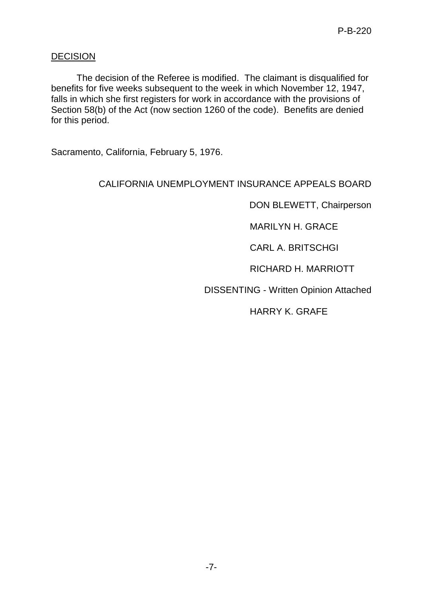## **DECISION**

The decision of the Referee is modified. The claimant is disqualified for benefits for five weeks subsequent to the week in which November 12, 1947, falls in which she first registers for work in accordance with the provisions of Section 58(b) of the Act (now section 1260 of the code). Benefits are denied for this period.

Sacramento, California, February 5, 1976.

## CALIFORNIA UNEMPLOYMENT INSURANCE APPEALS BOARD

DON BLEWETT, Chairperson

MARILYN H. GRACE

CARL A. BRITSCHGI

RICHARD H. MARRIOTT

DISSENTING - Written Opinion Attached

HARRY K. GRAFE